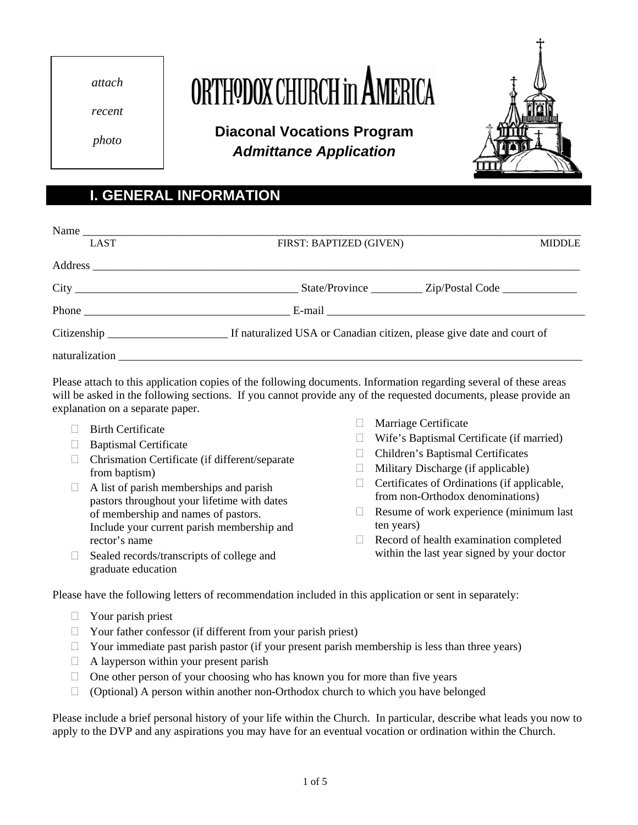*attach* 

ORTHODOX CHURCH in AM

*recent* 

*photo* **Diaconal Vocations Program**  *Admittance Application* 



## **I. GENERAL INFORMATION**

| <b>LAST</b>                                                                                                                                                                                                                                                                                                                                                                                                            | FIRST: BAPTIZED (GIVEN) | <b>MIDDLE</b> |
|------------------------------------------------------------------------------------------------------------------------------------------------------------------------------------------------------------------------------------------------------------------------------------------------------------------------------------------------------------------------------------------------------------------------|-------------------------|---------------|
|                                                                                                                                                                                                                                                                                                                                                                                                                        |                         |               |
|                                                                                                                                                                                                                                                                                                                                                                                                                        |                         |               |
| Phone $\frac{1}{\sqrt{1-\frac{1}{2}}}\left\{ \frac{1}{2}, \frac{1}{2}, \frac{1}{2}, \frac{1}{2}, \frac{1}{2}, \frac{1}{2}, \frac{1}{2}, \frac{1}{2}, \frac{1}{2}, \frac{1}{2}, \frac{1}{2}, \frac{1}{2}, \frac{1}{2}, \frac{1}{2}, \frac{1}{2}, \frac{1}{2}, \frac{1}{2}, \frac{1}{2}, \frac{1}{2}, \frac{1}{2}, \frac{1}{2}, \frac{1}{2}, \frac{1}{2}, \frac{1}{2}, \frac{1}{2}, \frac{1}{2}, \frac{1}{2}, \frac{1}{$ |                         |               |
|                                                                                                                                                                                                                                                                                                                                                                                                                        |                         |               |
|                                                                                                                                                                                                                                                                                                                                                                                                                        |                         |               |

Please attach to this application copies of the following documents. Information regarding several of these areas will be asked in the following sections. If you cannot provide any of the requested documents, please provide an explanation on a separate paper.

- 
- 
- $\Box$  Chrismation Certificate (if different/separate from baptism)  $\Box$  Military Discharge (if applicable)
- $\Box$  A list of parish memberships and parish pastors throughout your lifetime with dates of membership and names of pastors. Include your current parish membership and rector's name
- □ Sealed records/transcripts of college and graduate education
- $\Box$  Birth Certificate  $\Box$  Marriage Certificate  $\Box$  Marriage Certificate
- $\Box$  Baptismal Certificate  $\Box$  Wife's Baptismal Certificate (if married)  $\Box$  Wife's Baptismal Certificates
	-
	-
	- $\Box$  Certificates of Ordinations (if applicable, from non-Orthodox denominations)
	- $\Box$  Resume of work experience (minimum last ten years)
	- $\Box$  Record of health examination completed within the last year signed by your doctor

Please have the following letters of recommendation included in this application or sent in separately:

- $\Box$  Your parish priest
- $\Box$  Your father confessor (if different from your parish priest)
- $\Box$  Your immediate past parish pastor (if your present parish membership is less than three years)
- $\Box$  A layperson within your present parish
- $\Box$  One other person of your choosing who has known you for more than five years
- $\Box$  (Optional) A person within another non-Orthodox church to which you have belonged

Please include a brief personal history of your life within the Church. In particular, describe what leads you now to apply to the DVP and any aspirations you may have for an eventual vocation or ordination within the Church.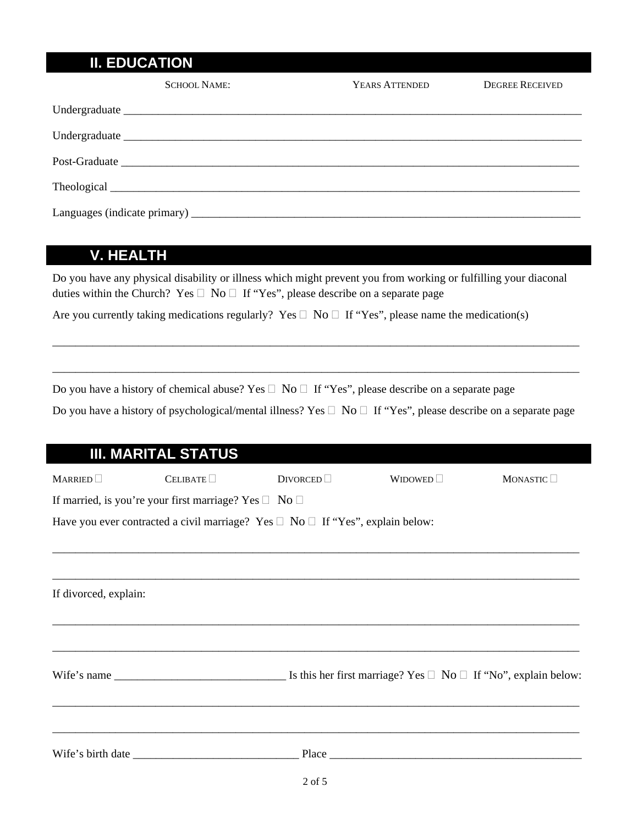## **II. EDUCATION**

| SCHOOL NAME: | YEARS ATTENDED | <b>DEGREE RECEIVED</b> |
|--------------|----------------|------------------------|
|              |                |                        |
|              |                |                        |
|              |                |                        |
|              |                |                        |
|              |                |                        |

## **V. HEALTH**

Do you have any physical disability or illness which might prevent you from working or fulfilling your diaconal duties within the Church? Yes  $\Box$  No  $\Box$  If "Yes", please describe on a separate page

Are you currently taking medications regularly? Yes  $\Box$  No  $\Box$  If "Yes", please name the medication(s)

Do you have a history of chemical abuse? Yes  $\Box$  No  $\Box$  If "Yes", please describe on a separate page

Do you have a history of psychological/mental illness? Yes  $\Box$  No  $\Box$  If "Yes", please describe on a separate page

\_\_\_\_\_\_\_\_\_\_\_\_\_\_\_\_\_\_\_\_\_\_\_\_\_\_\_\_\_\_\_\_\_\_\_\_\_\_\_\_\_\_\_\_\_\_\_\_\_\_\_\_\_\_\_\_\_\_\_\_\_\_\_\_\_\_\_\_\_\_\_\_\_\_\_\_\_\_\_\_\_\_\_\_\_\_\_\_\_\_\_\_

\_\_\_\_\_\_\_\_\_\_\_\_\_\_\_\_\_\_\_\_\_\_\_\_\_\_\_\_\_\_\_\_\_\_\_\_\_\_\_\_\_\_\_\_\_\_\_\_\_\_\_\_\_\_\_\_\_\_\_\_\_\_\_\_\_\_\_\_\_\_\_\_\_\_\_\_\_\_\_\_\_\_\_\_\_\_\_\_\_\_\_\_

|                       | <b>III. MARITAL STATUS</b>                                                               |                       |                |                       |
|-----------------------|------------------------------------------------------------------------------------------|-----------------------|----------------|-----------------------|
| MARRIED               | CELIBATE                                                                                 | $Div$ orced $\square$ | WIDOWED $\Box$ | MONASTIC <sup>I</sup> |
|                       | If married, is you're your first marriage? Yes $\Box$ No $\Box$                          |                       |                |                       |
|                       | Have you ever contracted a civil marriage? Yes $\Box$ No $\Box$ If "Yes", explain below: |                       |                |                       |
|                       |                                                                                          |                       |                |                       |
|                       |                                                                                          |                       |                |                       |
| If divorced, explain: |                                                                                          |                       |                |                       |
|                       |                                                                                          |                       |                |                       |
|                       |                                                                                          |                       |                |                       |
|                       |                                                                                          |                       |                |                       |
|                       |                                                                                          |                       |                |                       |
|                       |                                                                                          |                       |                |                       |
|                       |                                                                                          |                       |                |                       |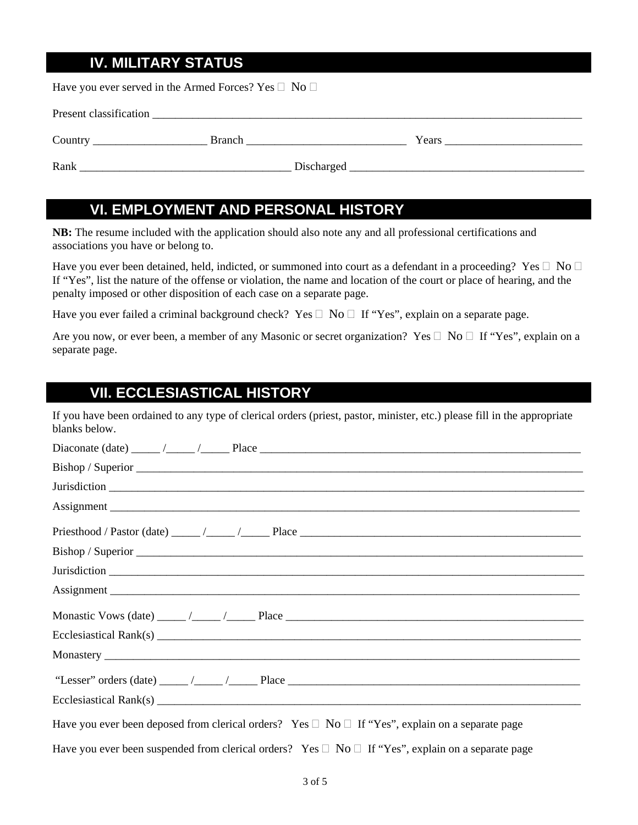## **IV. MILITARY STATUS**

Have you ever served in the Armed Forces? Yes  $\Box$  No  $\Box$ 

| Present classification |               |       |  |
|------------------------|---------------|-------|--|
| Country                | <b>Branch</b> | Years |  |
| Rank                   | Discharged    |       |  |

#### **VI. EMPLOYMENT AND PERSONAL HISTORY**

**NB:** The resume included with the application should also note any and all professional certifications and associations you have or belong to.

Have you ever been detained, held, indicted, or summoned into court as a defendant in a proceeding? Yes  $\Box$  No  $\Box$ If "Yes", list the nature of the offense or violation, the name and location of the court or place of hearing, and the penalty imposed or other disposition of each case on a separate page.

Have you ever failed a criminal background check? Yes  $\Box$  No  $\Box$  If "Yes", explain on a separate page.

Are you now, or ever been, a member of any Masonic or secret organization? Yes  $\Box$  No  $\Box$  If "Yes", explain on a separate page.

#### **VII. ECCLESIASTICAL HISTORY**

If you have been ordained to any type of clerical orders (priest, pastor, minister, etc.) please fill in the appropriate blanks below.

| Have you ever been deposed from clerical orders? Yes $\Box$ No $\Box$ If "Yes", explain on a separate page   |
|--------------------------------------------------------------------------------------------------------------|
| Have you ever been suspended from clerical orders? Yes $\Box$ No $\Box$ If "Yes", explain on a separate page |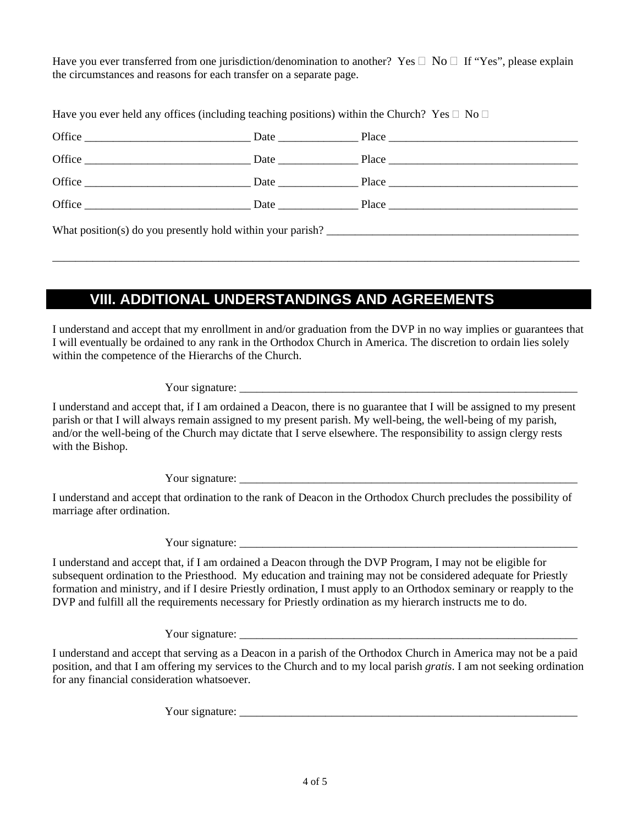Have you ever transferred from one jurisdiction/denomination to another? Yes  $\Box$  No  $\Box$  If "Yes", please explain the circumstances and reasons for each transfer on a separate page.

Have you ever held any offices (including teaching positions) within the Church? Yes  $\Box$  No  $\Box$ 

| Office $\frac{1}{\sqrt{1-\frac{1}{2}}\left(1-\frac{1}{2}\right)}$                                                                                                                                                                                                                                                                                                                                                     |  |                  |  |
|-----------------------------------------------------------------------------------------------------------------------------------------------------------------------------------------------------------------------------------------------------------------------------------------------------------------------------------------------------------------------------------------------------------------------|--|------------------|--|
| Office                                                                                                                                                                                                                                                                                                                                                                                                                |  |                  |  |
| Office $\frac{1}{\sqrt{1-\frac{1}{2}}}\left\{ \frac{1}{2}, \frac{1}{2}, \frac{1}{2}, \frac{1}{2}, \frac{1}{2}, \frac{1}{2}, \frac{1}{2}, \frac{1}{2}, \frac{1}{2}, \frac{1}{2}, \frac{1}{2}, \frac{1}{2}, \frac{1}{2}, \frac{1}{2}, \frac{1}{2}, \frac{1}{2}, \frac{1}{2}, \frac{1}{2}, \frac{1}{2}, \frac{1}{2}, \frac{1}{2}, \frac{1}{2}, \frac{1}{2}, \frac{1}{2}, \frac{1}{2}, \frac{1}{2}, \frac{1}{2}, \frac{1$ |  | Date Place Place |  |
|                                                                                                                                                                                                                                                                                                                                                                                                                       |  |                  |  |
| What position(s) do you presently hold within your parish?                                                                                                                                                                                                                                                                                                                                                            |  |                  |  |

\_\_\_\_\_\_\_\_\_\_\_\_\_\_\_\_\_\_\_\_\_\_\_\_\_\_\_\_\_\_\_\_\_\_\_\_\_\_\_\_\_\_\_\_\_\_\_\_\_\_\_\_\_\_\_\_\_\_\_\_\_\_\_\_\_\_\_\_\_\_\_\_\_\_\_\_\_\_\_\_\_\_\_\_\_\_\_\_\_\_\_\_

# **VIII. ADDITIONAL UNDERSTANDINGS AND AGREEMENTS**

I understand and accept that my enrollment in and/or graduation from the DVP in no way implies or guarantees that I will eventually be ordained to any rank in the Orthodox Church in America. The discretion to ordain lies solely within the competence of the Hierarchs of the Church.

Your signature: \_\_\_\_\_\_\_\_\_\_\_\_\_\_\_\_\_\_\_\_\_\_\_\_\_\_\_\_\_\_\_\_\_\_\_\_\_\_\_\_\_\_\_\_\_\_\_\_\_\_\_\_\_\_\_\_\_\_\_

I understand and accept that, if I am ordained a Deacon, there is no guarantee that I will be assigned to my present parish or that I will always remain assigned to my present parish. My well-being, the well-being of my parish, and/or the well-being of the Church may dictate that I serve elsewhere. The responsibility to assign clergy rests with the Bishop.

Your signature:

I understand and accept that ordination to the rank of Deacon in the Orthodox Church precludes the possibility of marriage after ordination.

Your signature:

I understand and accept that, if I am ordained a Deacon through the DVP Program, I may not be eligible for subsequent ordination to the Priesthood. My education and training may not be considered adequate for Priestly formation and ministry, and if I desire Priestly ordination, I must apply to an Orthodox seminary or reapply to the DVP and fulfill all the requirements necessary for Priestly ordination as my hierarch instructs me to do.

Your signature:

I understand and accept that serving as a Deacon in a parish of the Orthodox Church in America may not be a paid position, and that I am offering my services to the Church and to my local parish *gratis*. I am not seeking ordination for any financial consideration whatsoever.

Your signature: